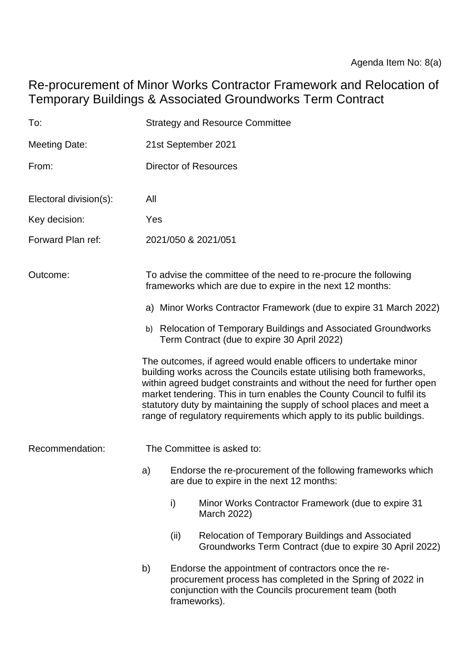Re-procurement of Minor Works Contractor Framework and Relocation of Temporary Buildings & Associated Groundworks Term Contract

| To:                    |                                                                                                                                                                                                                                                                                                                                                                                                                                                | <b>Strategy and Resource Committee</b>                                                                                       |                                                                                                                                                                           |  |  |  |
|------------------------|------------------------------------------------------------------------------------------------------------------------------------------------------------------------------------------------------------------------------------------------------------------------------------------------------------------------------------------------------------------------------------------------------------------------------------------------|------------------------------------------------------------------------------------------------------------------------------|---------------------------------------------------------------------------------------------------------------------------------------------------------------------------|--|--|--|
| <b>Meeting Date:</b>   |                                                                                                                                                                                                                                                                                                                                                                                                                                                | 21st September 2021                                                                                                          |                                                                                                                                                                           |  |  |  |
| From:                  |                                                                                                                                                                                                                                                                                                                                                                                                                                                | <b>Director of Resources</b>                                                                                                 |                                                                                                                                                                           |  |  |  |
| Electoral division(s): | All                                                                                                                                                                                                                                                                                                                                                                                                                                            |                                                                                                                              |                                                                                                                                                                           |  |  |  |
| Key decision:          | Yes                                                                                                                                                                                                                                                                                                                                                                                                                                            |                                                                                                                              |                                                                                                                                                                           |  |  |  |
| Forward Plan ref:      |                                                                                                                                                                                                                                                                                                                                                                                                                                                | 2021/050 & 2021/051                                                                                                          |                                                                                                                                                                           |  |  |  |
| Outcome:               |                                                                                                                                                                                                                                                                                                                                                                                                                                                | To advise the committee of the need to re-procure the following<br>frameworks which are due to expire in the next 12 months: |                                                                                                                                                                           |  |  |  |
|                        | a) Minor Works Contractor Framework (due to expire 31 March 2022)                                                                                                                                                                                                                                                                                                                                                                              |                                                                                                                              |                                                                                                                                                                           |  |  |  |
|                        | Relocation of Temporary Buildings and Associated Groundworks<br>b)<br>Term Contract (due to expire 30 April 2022)                                                                                                                                                                                                                                                                                                                              |                                                                                                                              |                                                                                                                                                                           |  |  |  |
|                        | The outcomes, if agreed would enable officers to undertake minor<br>building works across the Councils estate utilising both frameworks,<br>within agreed budget constraints and without the need for further open<br>market tendering. This in turn enables the County Council to fulfil its<br>statutory duty by maintaining the supply of school places and meet a<br>range of regulatory requirements which apply to its public buildings. |                                                                                                                              |                                                                                                                                                                           |  |  |  |
| Recommendation:        | The Committee is asked to:                                                                                                                                                                                                                                                                                                                                                                                                                     |                                                                                                                              |                                                                                                                                                                           |  |  |  |
|                        | a)                                                                                                                                                                                                                                                                                                                                                                                                                                             |                                                                                                                              | Endorse the re-procurement of the following frameworks which<br>are due to expire in the next 12 months:                                                                  |  |  |  |
|                        |                                                                                                                                                                                                                                                                                                                                                                                                                                                | i)                                                                                                                           | Minor Works Contractor Framework (due to expire 31<br>March 2022)                                                                                                         |  |  |  |
|                        |                                                                                                                                                                                                                                                                                                                                                                                                                                                | (ii)                                                                                                                         | Relocation of Temporary Buildings and Associated<br>Groundworks Term Contract (due to expire 30 April 2022)                                                               |  |  |  |
|                        | b)                                                                                                                                                                                                                                                                                                                                                                                                                                             | frameworks).                                                                                                                 | Endorse the appointment of contractors once the re-<br>procurement process has completed in the Spring of 2022 in<br>conjunction with the Councils procurement team (both |  |  |  |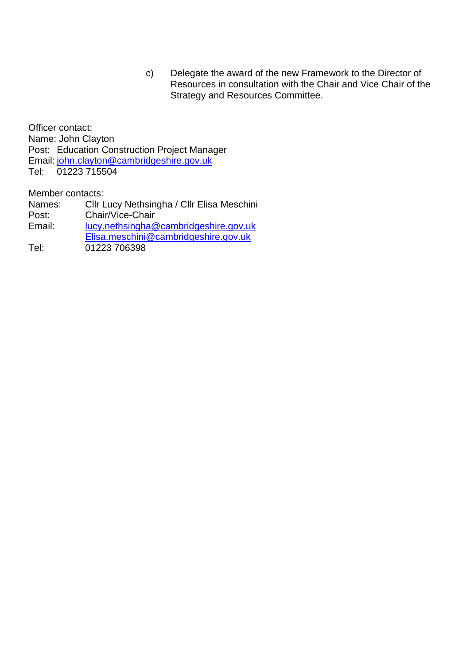c) Delegate the award of the new Framework to the Director of Resources in consultation with the Chair and Vice Chair of the Strategy and Resources Committee.

Officer contact: Name: John Clayton Post: Education Construction Project Manager Email: [john.clayton@cambridgeshire.gov.uk](mailto:john.clayton@cambridgeshire.gov.uk) Tel: 01223 715504

Member contacts:

Names: Cllr Lucy Nethsingha / Cllr Elisa Meschini Post: Chair/Vice-Chair Email: [lucy.nethsingha@cambridgeshire.gov.uk](mailto:lucy.nethsingha@cambridgeshire.gov.uk) [Elisa.meschini@cambridgeshire.gov.uk](mailto:Elisa.meschini@cambridgeshire.gov.uk) Tel: 01223 706398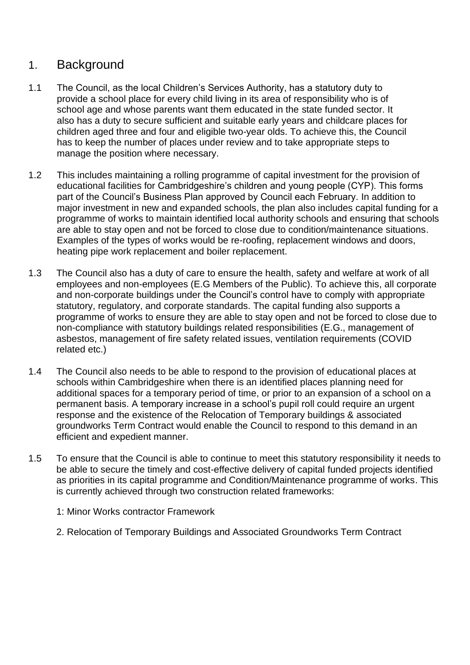# 1. Background

- 1.1 The Council, as the local Children's Services Authority, has a statutory duty to provide a school place for every child living in its area of responsibility who is of school age and whose parents want them educated in the state funded sector. It also has a duty to secure sufficient and suitable early years and childcare places for children aged three and four and eligible two-year olds. To achieve this, the Council has to keep the number of places under review and to take appropriate steps to manage the position where necessary.
- 1.2 This includes maintaining a rolling programme of capital investment for the provision of educational facilities for Cambridgeshire's children and young people (CYP). This forms part of the Council's Business Plan approved by Council each February. In addition to major investment in new and expanded schools, the plan also includes capital funding for a programme of works to maintain identified local authority schools and ensuring that schools are able to stay open and not be forced to close due to condition/maintenance situations. Examples of the types of works would be re-roofing, replacement windows and doors, heating pipe work replacement and boiler replacement.
- 1.3 The Council also has a duty of care to ensure the health, safety and welfare at work of all employees and non-employees (E.G Members of the Public). To achieve this, all corporate and non-corporate buildings under the Council's control have to comply with appropriate statutory, regulatory, and corporate standards. The capital funding also supports a programme of works to ensure they are able to stay open and not be forced to close due to non-compliance with statutory buildings related responsibilities (E.G., management of asbestos, management of fire safety related issues, ventilation requirements (COVID related etc.)
- 1.4 The Council also needs to be able to respond to the provision of educational places at schools within Cambridgeshire when there is an identified places planning need for additional spaces for a temporary period of time, or prior to an expansion of a school on a permanent basis. A temporary increase in a school's pupil roll could require an urgent response and the existence of the Relocation of Temporary buildings & associated groundworks Term Contract would enable the Council to respond to this demand in an efficient and expedient manner.
- 1.5 To ensure that the Council is able to continue to meet this statutory responsibility it needs to be able to secure the timely and cost-effective delivery of capital funded projects identified as priorities in its capital programme and Condition/Maintenance programme of works. This is currently achieved through two construction related frameworks:
	- 1: Minor Works contractor Framework
	- 2. Relocation of Temporary Buildings and Associated Groundworks Term Contract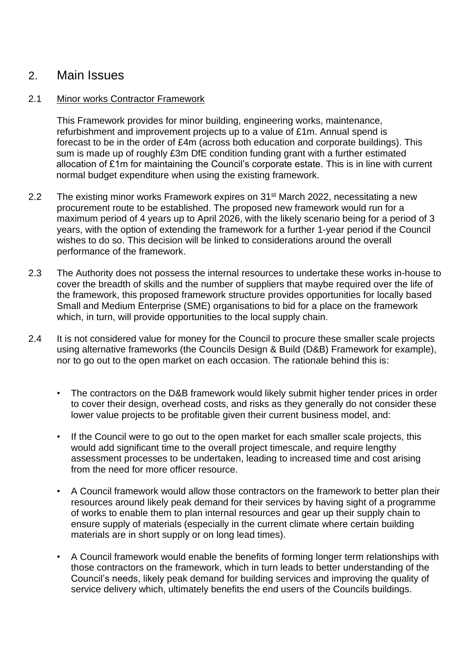### 2. Main Issues

#### 2.1 Minor works Contractor Framework

This Framework provides for minor building, engineering works, maintenance, refurbishment and improvement projects up to a value of £1m. Annual spend is forecast to be in the order of £4m (across both education and corporate buildings). This sum is made up of roughly £3m DfE condition funding grant with a further estimated allocation of £1m for maintaining the Council's corporate estate. This is in line with current normal budget expenditure when using the existing framework.

- 2.2 The existing minor works Framework expires on 31<sup>st</sup> March 2022, necessitating a new procurement route to be established. The proposed new framework would run for a maximum period of 4 years up to April 2026, with the likely scenario being for a period of 3 years, with the option of extending the framework for a further 1-year period if the Council wishes to do so. This decision will be linked to considerations around the overall performance of the framework.
- 2.3 The Authority does not possess the internal resources to undertake these works in-house to cover the breadth of skills and the number of suppliers that maybe required over the life of the framework, this proposed framework structure provides opportunities for locally based Small and Medium Enterprise (SME) organisations to bid for a place on the framework which, in turn, will provide opportunities to the local supply chain.
- 2.4 It is not considered value for money for the Council to procure these smaller scale projects using alternative frameworks (the Councils Design & Build (D&B) Framework for example), nor to go out to the open market on each occasion. The rationale behind this is:
	- The contractors on the D&B framework would likely submit higher tender prices in order to cover their design, overhead costs, and risks as they generally do not consider these lower value projects to be profitable given their current business model, and:
	- If the Council were to go out to the open market for each smaller scale projects, this would add significant time to the overall project timescale, and require lengthy assessment processes to be undertaken, leading to increased time and cost arising from the need for more officer resource.
	- A Council framework would allow those contractors on the framework to better plan their resources around likely peak demand for their services by having sight of a programme of works to enable them to plan internal resources and gear up their supply chain to ensure supply of materials (especially in the current climate where certain building materials are in short supply or on long lead times).
	- A Council framework would enable the benefits of forming longer term relationships with those contractors on the framework, which in turn leads to better understanding of the Council's needs, likely peak demand for building services and improving the quality of service delivery which, ultimately benefits the end users of the Councils buildings.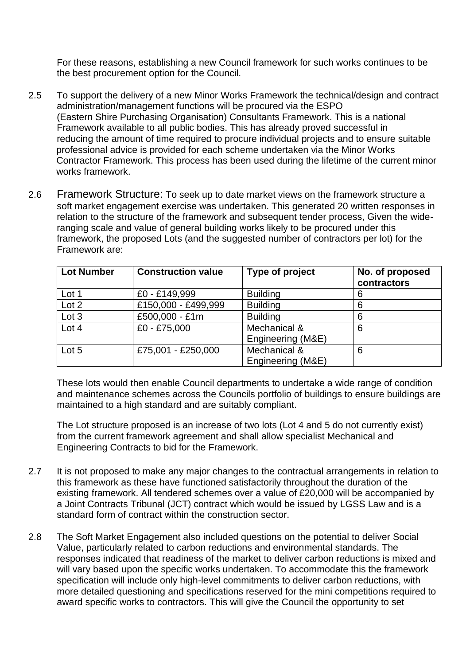For these reasons, establishing a new Council framework for such works continues to be the best procurement option for the Council.

- 2.5 To support the delivery of a new Minor Works Framework the technical/design and contract administration/management functions will be procured via the ESPO (Eastern Shire Purchasing Organisation) Consultants Framework. This is a national Framework available to all public bodies. This has already proved successful in reducing the amount of time required to procure individual projects and to ensure suitable professional advice is provided for each scheme undertaken via the Minor Works Contractor Framework. This process has been used during the lifetime of the current minor works framework.
- 2.6 Framework Structure: To seek up to date market views on the framework structure a soft market engagement exercise was undertaken. This generated 20 written responses in relation to the structure of the framework and subsequent tender process, Given the wideranging scale and value of general building works likely to be procured under this framework, the proposed Lots (and the suggested number of contractors per lot) for the Framework are:

| <b>Lot Number</b> | <b>Construction value</b> | Type of project                   | No. of proposed<br>contractors |
|-------------------|---------------------------|-----------------------------------|--------------------------------|
| Lot 1             | £0 - £149,999             | <b>Building</b>                   | 6                              |
| Lot 2             | £150,000 - £499,999       | <b>Building</b>                   | 6                              |
| Lot 3             | £500,000 - £1m            | <b>Building</b>                   | 6                              |
| Lot 4             | £0 - £75,000              | Mechanical &<br>Engineering (M&E) | 6                              |
| Lot 5             | £75,001 - £250,000        | Mechanical &<br>Engineering (M&E) | 6                              |

These lots would then enable Council departments to undertake a wide range of condition and maintenance schemes across the Councils portfolio of buildings to ensure buildings are maintained to a high standard and are suitably compliant.

The Lot structure proposed is an increase of two lots (Lot 4 and 5 do not currently exist) from the current framework agreement and shall allow specialist Mechanical and Engineering Contracts to bid for the Framework.

- 2.7 It is not proposed to make any major changes to the contractual arrangements in relation to this framework as these have functioned satisfactorily throughout the duration of the existing framework. All tendered schemes over a value of £20,000 will be accompanied by a Joint Contracts Tribunal (JCT) contract which would be issued by LGSS Law and is a standard form of contract within the construction sector.
- 2.8 The Soft Market Engagement also included questions on the potential to deliver Social Value, particularly related to carbon reductions and environmental standards. The responses indicated that readiness of the market to deliver carbon reductions is mixed and will vary based upon the specific works undertaken. To accommodate this the framework specification will include only high-level commitments to deliver carbon reductions, with more detailed questioning and specifications reserved for the mini competitions required to award specific works to contractors. This will give the Council the opportunity to set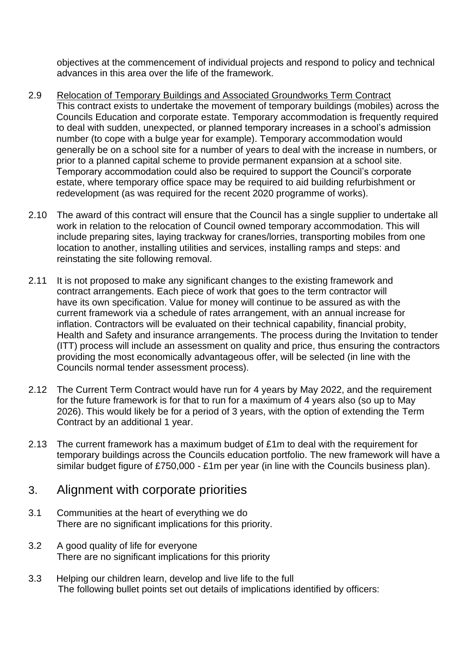objectives at the commencement of individual projects and respond to policy and technical advances in this area over the life of the framework.

- 2.9 Relocation of Temporary Buildings and Associated Groundworks Term Contract This contract exists to undertake the movement of temporary buildings (mobiles) across the Councils Education and corporate estate. Temporary accommodation is frequently required to deal with sudden, unexpected, or planned temporary increases in a school's admission number (to cope with a bulge year for example). Temporary accommodation would generally be on a school site for a number of years to deal with the increase in numbers, or prior to a planned capital scheme to provide permanent expansion at a school site. Temporary accommodation could also be required to support the Council's corporate estate, where temporary office space may be required to aid building refurbishment or redevelopment (as was required for the recent 2020 programme of works).
- 2.10 The award of this contract will ensure that the Council has a single supplier to undertake all work in relation to the relocation of Council owned temporary accommodation. This will include preparing sites, laying trackway for cranes/lorries, transporting mobiles from one location to another, installing utilities and services, installing ramps and steps: and reinstating the site following removal.
- 2.11 It is not proposed to make any significant changes to the existing framework and contract arrangements. Each piece of work that goes to the term contractor will have its own specification. Value for money will continue to be assured as with the current framework via a schedule of rates arrangement, with an annual increase for inflation. Contractors will be evaluated on their technical capability, financial probity, Health and Safety and insurance arrangements. The process during the Invitation to tender (ITT) process will include an assessment on quality and price, thus ensuring the contractors providing the most economically advantageous offer, will be selected (in line with the Councils normal tender assessment process).
- 2.12 The Current Term Contract would have run for 4 years by May 2022, and the requirement for the future framework is for that to run for a maximum of 4 years also (so up to May 2026). This would likely be for a period of 3 years, with the option of extending the Term Contract by an additional 1 year.
- 2.13 The current framework has a maximum budget of £1m to deal with the requirement for temporary buildings across the Councils education portfolio. The new framework will have a similar budget figure of £750,000 - £1m per year (in line with the Councils business plan).

## 3. Alignment with corporate priorities

- 3.1 Communities at the heart of everything we do There are no significant implications for this priority.
- 3.2 A good quality of life for everyone There are no significant implications for this priority
- 3.3 Helping our children learn, develop and live life to the full The following bullet points set out details of implications identified by officers: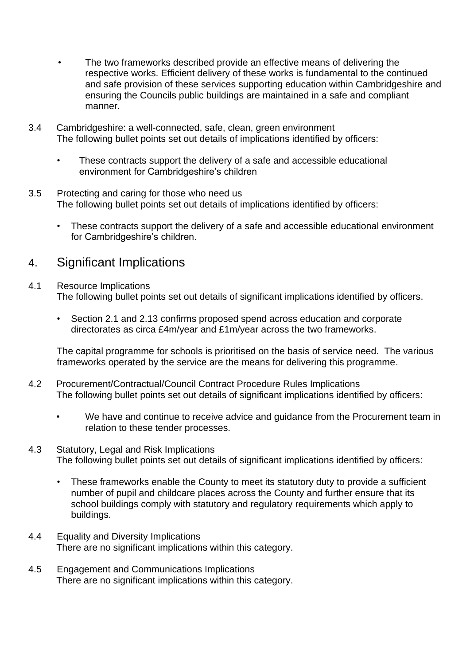- The two frameworks described provide an effective means of delivering the respective works. Efficient delivery of these works is fundamental to the continued and safe provision of these services supporting education within Cambridgeshire and ensuring the Councils public buildings are maintained in a safe and compliant manner.
- 3.4 Cambridgeshire: a well-connected, safe, clean, green environment The following bullet points set out details of implications identified by officers:
	- These contracts support the delivery of a safe and accessible educational environment for Cambridgeshire's children
- 3.5 Protecting and caring for those who need us The following bullet points set out details of implications identified by officers:
	- These contracts support the delivery of a safe and accessible educational environment for Cambridgeshire's children.

## 4. Significant Implications

#### 4.1 Resource Implications The following bullet points set out details of significant implications identified by officers.

• Section 2.1 and 2.13 confirms proposed spend across education and corporate directorates as circa £4m/year and £1m/year across the two frameworks.

The capital programme for schools is prioritised on the basis of service need. The various frameworks operated by the service are the means for delivering this programme.

- 4.2 Procurement/Contractual/Council Contract Procedure Rules Implications The following bullet points set out details of significant implications identified by officers:
	- We have and continue to receive advice and guidance from the Procurement team in relation to these tender processes.

#### 4.3 Statutory, Legal and Risk Implications The following bullet points set out details of significant implications identified by officers:

- These frameworks enable the County to meet its statutory duty to provide a sufficient number of pupil and childcare places across the County and further ensure that its school buildings comply with statutory and regulatory requirements which apply to buildings.
- 4.4 Equality and Diversity Implications There are no significant implications within this category.
- 4.5 Engagement and Communications Implications There are no significant implications within this category.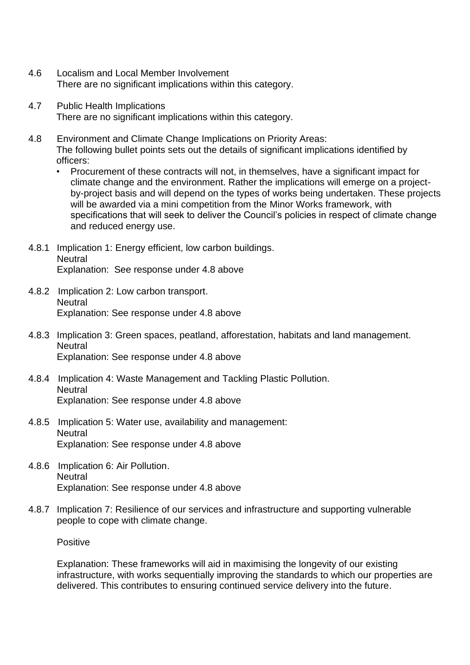- 4.6 Localism and Local Member Involvement There are no significant implications within this category.
- 4.7 Public Health Implications There are no significant implications within this category.
- 4.8 Environment and Climate Change Implications on Priority Areas: The following bullet points sets out the details of significant implications identified by officers:
	- Procurement of these contracts will not, in themselves, have a significant impact for climate change and the environment. Rather the implications will emerge on a projectby-project basis and will depend on the types of works being undertaken. These projects will be awarded via a mini competition from the Minor Works framework, with specifications that will seek to deliver the Council's policies in respect of climate change and reduced energy use.
- 4.8.1 Implication 1: Energy efficient, low carbon buildings. **Neutral** Explanation: See response under 4.8 above
- 4.8.2 Implication 2: Low carbon transport. **Neutral** Explanation: See response under 4.8 above
- 4.8.3 Implication 3: Green spaces, peatland, afforestation, habitats and land management. **Neutral** Explanation: See response under 4.8 above
- 4.8.4 Implication 4: Waste Management and Tackling Plastic Pollution. **Neutral** Explanation: See response under 4.8 above
- 4.8.5 Implication 5: Water use, availability and management: **Neutral** Explanation: See response under 4.8 above
- 4.8.6 Implication 6: Air Pollution. **Neutral** Explanation: See response under 4.8 above
- 4.8.7 Implication 7: Resilience of our services and infrastructure and supporting vulnerable people to cope with climate change.

Positive

Explanation: These frameworks will aid in maximising the longevity of our existing infrastructure, with works sequentially improving the standards to which our properties are delivered. This contributes to ensuring continued service delivery into the future.